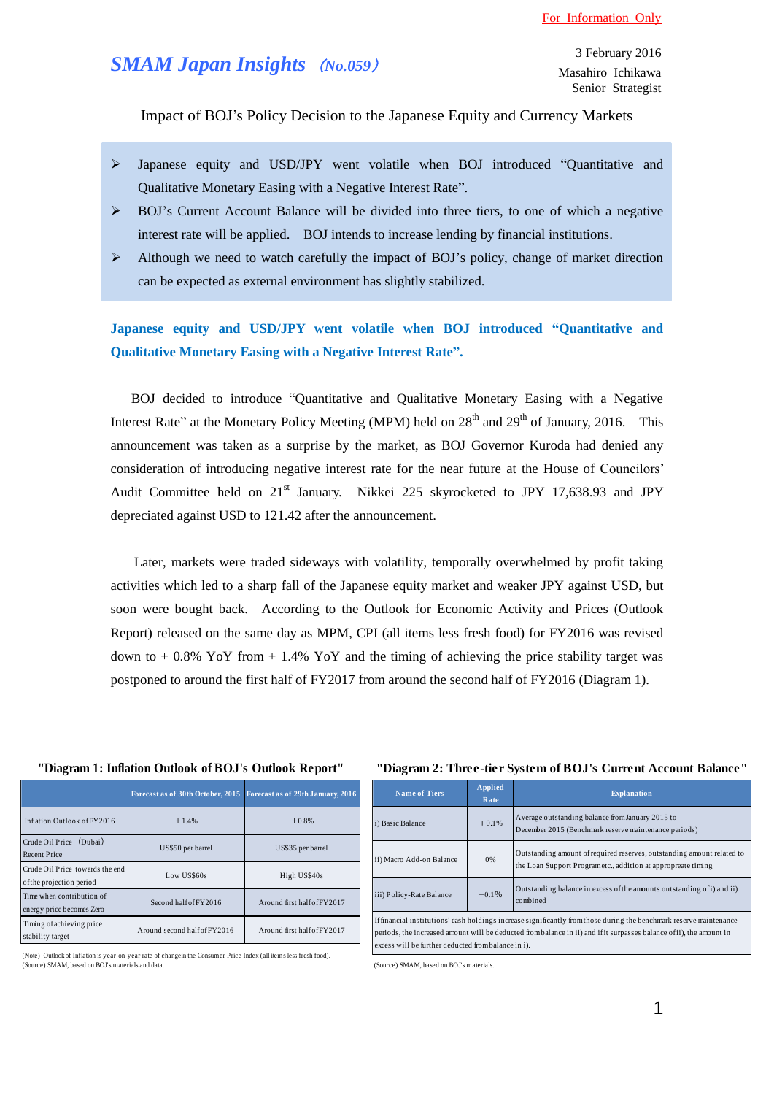# *SMAM Japan Insights* (*No.059*)

Impact of BOJ's Policy Decision to the Japanese Equity and Currency Markets

- Japanese equity and USD/JPY went volatile when BOJ introduced "Quantitative and Qualitative Monetary Easing with a Negative Interest Rate".
- $\triangleright$  BOJ's Current Account Balance will be divided into three tiers, to one of which a negative interest rate will be applied. BOJ intends to increase lending by financial institutions.
- $\triangleright$  Although we need to watch carefully the impact of BOJ's policy, change of market direction can be expected as external environment has slightly stabilized.

**Japanese equity and USD/JPY went volatile when BOJ introduced "Quantitative and Qualitative Monetary Easing with a Negative Interest Rate".**

BOJ decided to introduce "Quantitative and Qualitative Monetary Easing with a Negative Interest Rate" at the Monetary Policy Meeting (MPM) held on  $28<sup>th</sup>$  and  $29<sup>th</sup>$  of January, 2016. This announcement was taken as a surprise by the market, as BOJ Governor Kuroda had denied any consideration of introducing negative interest rate for the near future at the House of Councilors' Audit Committee held on 21<sup>st</sup> January. Nikkei 225 skyrocketed to JPY 17,638.93 and JPY depreciated against USD to 121.42 after the announcement.

Later, markets were traded sideways with volatility, temporally overwhelmed by profit taking activities which led to a sharp fall of the Japanese equity market and weaker JPY against USD, but soon were bought back. According to the Outlook for Economic Activity and Prices (Outlook Report) released on the same day as MPM, CPI (all items less fresh food) for FY2016 was revised down to  $+0.8\%$  YoY from  $+1.4\%$  YoY and the timing of achieving the price stability target was postponed to around the first half of FY2017 from around the second half of FY2016 (Diagram 1).

#### **"Diagram 1: Inflation Outlook of BOJ's Outlook Report"**

|                                                             | Forecast as of 30th October, 2015 | Forecast as of 29th January, 2016 |
|-------------------------------------------------------------|-----------------------------------|-----------------------------------|
| Inflation Outlook of FY2016                                 | $+1.4%$                           | $+0.8%$                           |
| Crude Oil Price (Dubai)<br><b>Recent Price</b>              | US\$50 per barrel                 | US\$35 per barrel                 |
| Crude Oil Price towards the end<br>of the projection period | Low US\$60s                       | High US\$40s                      |
| Time when contribution of<br>energy price becomes Zero      | Second half of FY2016             | Around first half of FY2017       |
| Timing of achieving price<br>stability target               | Around second half of FY2016      | Around first half of FY2017       |

#### (Note) Outlook of Inflation is year-on-year rate of changein the Consumer Price Index (all items less fresh food). (Source) SMAM, based on BOJ's materials and data.

### **"Diagram 2: Three-tier System of BOJ's Current Account Balance"**

| <b>Name of Tiers</b>                                | <b>Applied</b><br>Rate | <b>Explanation</b>                                                                                                                                                                                                                          |
|-----------------------------------------------------|------------------------|---------------------------------------------------------------------------------------------------------------------------------------------------------------------------------------------------------------------------------------------|
| i) Basic Balance                                    | $+0.1%$                | Average outstanding balance from January 2015 to<br>December 2015 (Benchmark reserve maintenance periods)                                                                                                                                   |
| ii) Macro Add-on Balance                            | 0%                     | Outstanding amount of required reserves, outstanding amount related to<br>the Loan Support Programetc., addition at appropreate timing                                                                                                      |
| iii) Policy-Rate Balance                            | $-0.1%$                | Outstanding balance in excess of the amounts outstanding of i) and ii)<br>combined                                                                                                                                                          |
| excess will be further deducted from balance in i). |                        | If financial institutions' cash holdings increase significantly from those during the benchmark reserve maintenance<br>periods, the increased amount will be deducted from balance in ii) and if it surpasses balance of ii), the amount in |

(Source) SMAM, based on BOJ's materials.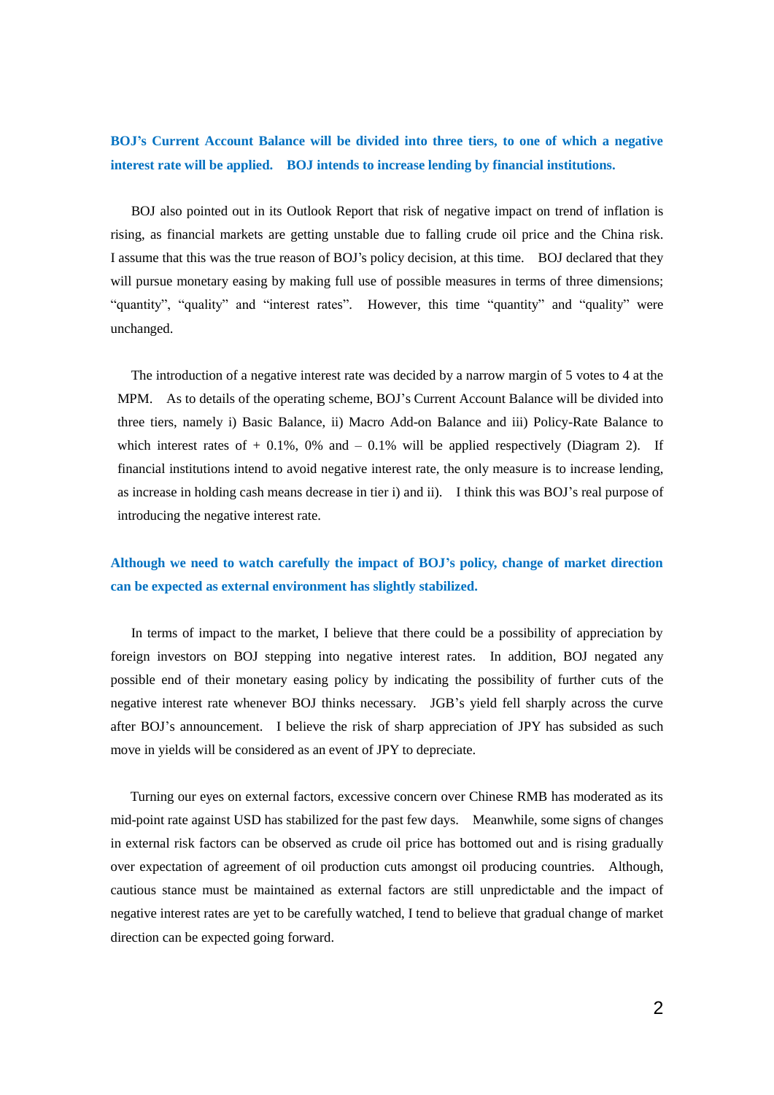# **BOJ's Current Account Balance will be divided into three tiers, to one of which a negative interest rate will be applied. BOJ intends to increase lending by financial institutions.**

BOJ also pointed out in its Outlook Report that risk of negative impact on trend of inflation is rising, as financial markets are getting unstable due to falling crude oil price and the China risk. I assume that this was the true reason of BOJ's policy decision, at this time. BOJ declared that they will pursue monetary easing by making full use of possible measures in terms of three dimensions; "quantity", "quality" and "interest rates". However, this time "quantity" and "quality" were unchanged.

 The introduction of a negative interest rate was decided by a narrow margin of 5 votes to 4 at the MPM. As to details of the operating scheme, BOJ's Current Account Balance will be divided into three tiers, namely i) Basic Balance, ii) Macro Add-on Balance and iii) Policy-Rate Balance to which interest rates of  $+$  0.1%, 0% and  $-$  0.1% will be applied respectively (Diagram 2). If financial institutions intend to avoid negative interest rate, the only measure is to increase lending, as increase in holding cash means decrease in tier i) and ii). I think this was BOJ's real purpose of introducing the negative interest rate.

## **Although we need to watch carefully the impact of BOJ's policy, change of market direction can be expected as external environment has slightly stabilized.**

In terms of impact to the market, I believe that there could be a possibility of appreciation by foreign investors on BOJ stepping into negative interest rates. In addition, BOJ negated any possible end of their monetary easing policy by indicating the possibility of further cuts of the negative interest rate whenever BOJ thinks necessary. JGB's yield fell sharply across the curve after BOJ's announcement. I believe the risk of sharp appreciation of JPY has subsided as such move in yields will be considered as an event of JPY to depreciate.

 Turning our eyes on external factors, excessive concern over Chinese RMB has moderated as its mid-point rate against USD has stabilized for the past few days. Meanwhile, some signs of changes in external risk factors can be observed as crude oil price has bottomed out and is rising gradually over expectation of agreement of oil production cuts amongst oil producing countries. Although, cautious stance must be maintained as external factors are still unpredictable and the impact of negative interest rates are yet to be carefully watched, I tend to believe that gradual change of market direction can be expected going forward.